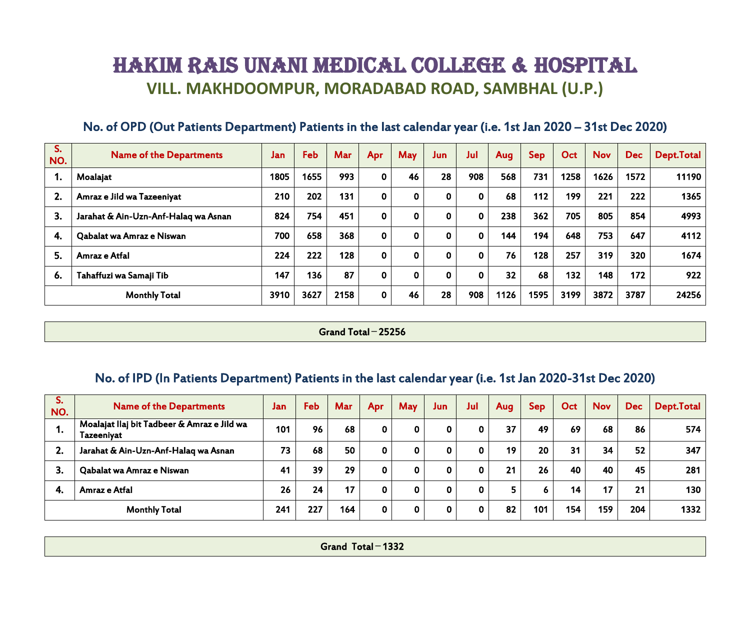# HAKIM RAIS UNANI MEDICAL COLLEGE & HOSPITAL **VILL. MAKHDOOMPUR, MORADABAD ROAD, SAMBHAL (U.P.)**

| No. of OPD (Out Patients Department) Patients in the last calendar year (i.e. 1st Jan 2020 – 31st Dec 2020) |
|-------------------------------------------------------------------------------------------------------------|
|-------------------------------------------------------------------------------------------------------------|

| S.<br>NO. | <b>Name of the Departments</b>       | Jan  | Feb  | <b>Mar</b> | <b>Apr</b>  | <b>May</b>   | Juni         | Jul | <b>Aug</b> | <b>Sep</b> | Oct  | <b>Nov</b> | <b>Dec</b> | Dept.Total |
|-----------|--------------------------------------|------|------|------------|-------------|--------------|--------------|-----|------------|------------|------|------------|------------|------------|
|           | Moalajat                             | 1805 | 1655 | 993        | 0           | 46           | 28           | 908 | 568        | 731        | 1258 | 1626       | 1572       | 11190      |
| 2.        | Amraz e Jild wa Tazeeniyat           | 210  | 202  | 131        | 0           | $\mathbf{0}$ | $\mathbf{0}$ | 0   | 68         | 112        | 199  | 221        | 222        | 1365       |
| 3.        | Jarahat & Ain-Uzn-Anf-Halaq wa Asnan | 824  | 754  | 451        | 0           | $\mathbf{0}$ | $\mathbf{0}$ | 0   | 238        | 362        | 705  | 805        | 854        | 4993       |
| 4.        | Qabalat wa Amraz e Niswan            | 700  | 658  | 368        | $\mathbf 0$ | $\mathbf 0$  | $\mathbf{0}$ | 0   | 144        | 194        | 648  | 753        | 647        | 4112       |
| 5.        | Amraz e Atfal                        | 224  | 222  | 128        | 0           | $\mathbf{0}$ | $\mathbf 0$  | 0   | 76         | 128        | 257  | 319        | 320        | 1674       |
| 6.        | Tahaffuzi wa Samaji Tib              | 147  | 136  | 87         | 0           | $\mathbf 0$  | $\mathbf{0}$ | 0   | 32         | 68         | 132  | 148        | 172        | 922        |
|           | <b>Monthly Total</b>                 | 3910 | 3627 | 2158       | 0           | 46           | 28           | 908 | 1126       | 1595       | 3199 | 3872       | 3787       | 24256      |

#### Grand Total **̶** 25256

## No. of IPD (In Patients Department) Patients in the last calendar year (i.e. 1st Jan 2020-31st Dec 2020)

| S.<br>NO. | <b>Name of the Departments</b>                            | <b>Jan</b> | Feb | <b>Mar</b> | <b>Apr</b>  | May         | Jun | Jul         | <b>Aug</b> | <b>Sep</b> | Oct | <b>Nov</b> | <b>Dec</b> | Dept.Total |
|-----------|-----------------------------------------------------------|------------|-----|------------|-------------|-------------|-----|-------------|------------|------------|-----|------------|------------|------------|
| 1.        | Moalajat llaj bit Tadbeer & Amraz e Jild wa<br>Tazeeniyat | 101        | 96  | 68         | $\mathbf 0$ | $\mathbf 0$ |     | $\mathbf 0$ | 37         | 49         | 69  | 68         | 86         | 574        |
| 2.        | Jarahat & Ain-Uzn-Anf-Halaq wa Asnan                      | 73         | 68  | 50         | 0           | 0           |     | 0           | 19         | 20         | 31  | 34         | 52         | 347        |
| 3.        | Qabalat wa Amraz e Niswan                                 | 41         | 39  | 29         | 0           | 0           |     | 0           | 21         | 26         | 40  | 40         | 45         | 281        |
| -4.       | Amraz e Atfal                                             | 26         | 24  | 17         | 0           | 0           |     | $\mathbf 0$ |            | O          | 14  | 17         | 21         | 130        |
|           | <b>Monthly Total</b>                                      | 241        | 227 | 164        | 0           | 0           | 0   | 0           | 82         | 101        | 154 | 159        | 204        | 1332       |

| .<br>. .<br><b>Grand</b><br>Total<br>$\overline{\phantom{a}}$ 1994<br>.<br>a shekarar 1980 a shekarar 1980 a shekarar 1980 a shekarar 1980 a shekarar 1980 a shekarar 1980 a 1980 a 1980 |
|------------------------------------------------------------------------------------------------------------------------------------------------------------------------------------------|
|------------------------------------------------------------------------------------------------------------------------------------------------------------------------------------------|